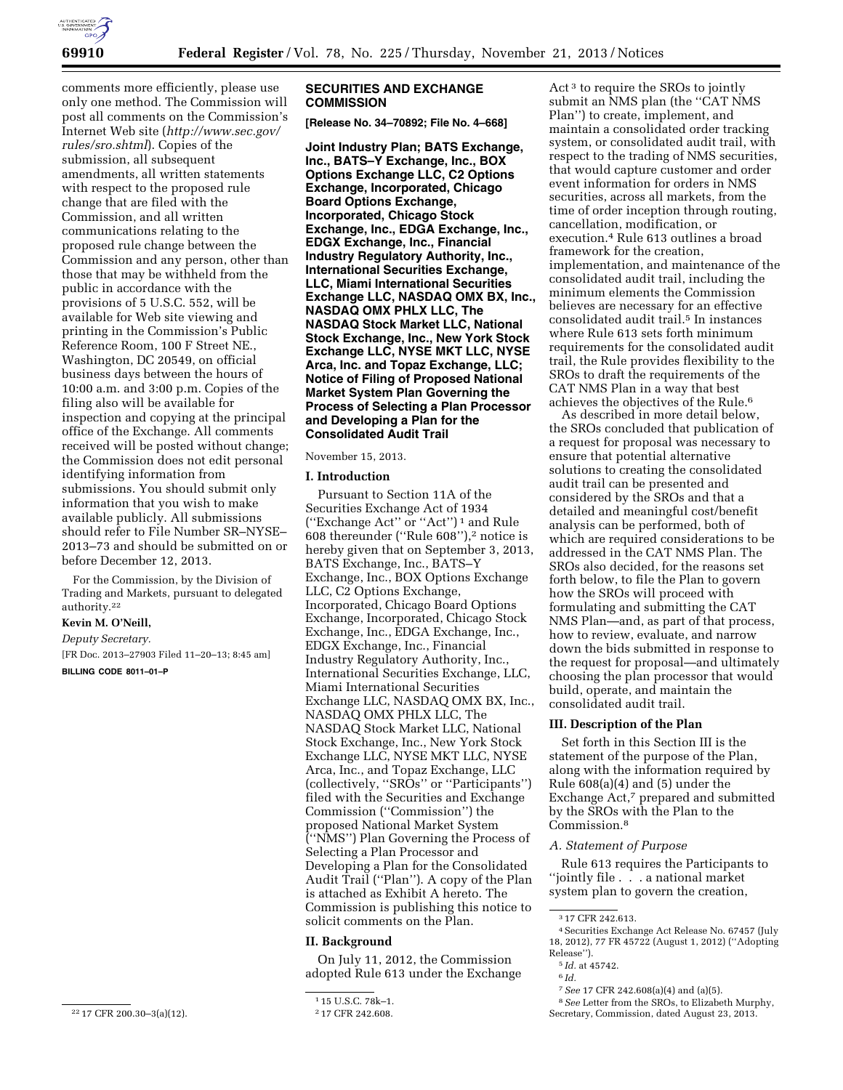

comments more efficiently, please use only one method. The Commission will post all comments on the Commission's Internet Web site (*[http://www.sec.gov/](http://www.sec.gov/rules/sro.shtml) [rules/sro.shtml](http://www.sec.gov/rules/sro.shtml)*). Copies of the submission, all subsequent amendments, all written statements with respect to the proposed rule change that are filed with the Commission, and all written communications relating to the proposed rule change between the Commission and any person, other than those that may be withheld from the public in accordance with the provisions of 5 U.S.C. 552, will be available for Web site viewing and printing in the Commission's Public Reference Room, 100 F Street NE., Washington, DC 20549, on official business days between the hours of 10:00 a.m. and 3:00 p.m. Copies of the filing also will be available for inspection and copying at the principal office of the Exchange. All comments received will be posted without change; the Commission does not edit personal identifying information from submissions. You should submit only information that you wish to make available publicly. All submissions should refer to File Number SR–NYSE– 2013–73 and should be submitted on or before December 12, 2013.

For the Commission, by the Division of Trading and Markets, pursuant to delegated authority.22

### **Kevin M. O'Neill,**

*Deputy Secretary.* 

[FR Doc. 2013–27903 Filed 11–20–13; 8:45 am] **BILLING CODE 8011–01–P** 

### **SECURITIES AND EXCHANGE COMMISSION**

**[Release No. 34–70892; File No. 4–668]** 

**Joint Industry Plan; BATS Exchange, Inc., BATS–Y Exchange, Inc., BOX Options Exchange LLC, C2 Options Exchange, Incorporated, Chicago Board Options Exchange, Incorporated, Chicago Stock Exchange, Inc., EDGA Exchange, Inc., EDGX Exchange, Inc., Financial Industry Regulatory Authority, Inc., International Securities Exchange, LLC, Miami International Securities Exchange LLC, NASDAQ OMX BX, Inc., NASDAQ OMX PHLX LLC, The NASDAQ Stock Market LLC, National Stock Exchange, Inc., New York Stock Exchange LLC, NYSE MKT LLC, NYSE Arca, Inc. and Topaz Exchange, LLC; Notice of Filing of Proposed National Market System Plan Governing the Process of Selecting a Plan Processor and Developing a Plan for the Consolidated Audit Trail** 

November 15, 2013.

### **I. Introduction**

Pursuant to Section 11A of the Securities Exchange Act of 1934 (''Exchange Act'' or ''Act'') 1 and Rule 608 thereunder (''Rule 608''),2 notice is hereby given that on September 3, 2013, BATS Exchange, Inc., BATS–Y Exchange, Inc., BOX Options Exchange LLC, C2 Options Exchange, Incorporated, Chicago Board Options Exchange, Incorporated, Chicago Stock Exchange, Inc., EDGA Exchange, Inc., EDGX Exchange, Inc., Financial Industry Regulatory Authority, Inc., International Securities Exchange, LLC, Miami International Securities Exchange LLC, NASDAQ OMX BX, Inc., NASDAQ OMX PHLX LLC, The NASDAQ Stock Market LLC, National Stock Exchange, Inc., New York Stock Exchange LLC, NYSE MKT LLC, NYSE Arca, Inc., and Topaz Exchange, LLC (collectively, ''SROs'' or ''Participants'') filed with the Securities and Exchange Commission (''Commission'') the proposed National Market System (''NMS'') Plan Governing the Process of Selecting a Plan Processor and Developing a Plan for the Consolidated Audit Trail (''Plan''). A copy of the Plan is attached as Exhibit A hereto. The Commission is publishing this notice to solicit comments on the Plan.

### **II. Background**

On July 11, 2012, the Commission adopted Rule 613 under the Exchange

Act<sup>3</sup> to require the SROs to jointly submit an NMS plan (the "CAT NMS Plan'') to create, implement, and maintain a consolidated order tracking system, or consolidated audit trail, with respect to the trading of NMS securities, that would capture customer and order event information for orders in NMS securities, across all markets, from the time of order inception through routing, cancellation, modification, or execution.4 Rule 613 outlines a broad framework for the creation, implementation, and maintenance of the consolidated audit trail, including the minimum elements the Commission believes are necessary for an effective consolidated audit trail.5 In instances where Rule 613 sets forth minimum requirements for the consolidated audit trail, the Rule provides flexibility to the SROs to draft the requirements of the CAT NMS Plan in a way that best achieves the objectives of the Rule.6

As described in more detail below, the SROs concluded that publication of a request for proposal was necessary to ensure that potential alternative solutions to creating the consolidated audit trail can be presented and considered by the SROs and that a detailed and meaningful cost/benefit analysis can be performed, both of which are required considerations to be addressed in the CAT NMS Plan. The SROs also decided, for the reasons set forth below, to file the Plan to govern how the SROs will proceed with formulating and submitting the CAT NMS Plan—and, as part of that process, how to review, evaluate, and narrow down the bids submitted in response to the request for proposal—and ultimately choosing the plan processor that would build, operate, and maintain the consolidated audit trail.

### **III. Description of the Plan**

Set forth in this Section III is the statement of the purpose of the Plan, along with the information required by Rule 608(a)(4) and (5) under the Exchange Act,<sup>7</sup> prepared and submitted by the SROs with the Plan to the Commission.8

### *A. Statement of Purpose*

Rule 613 requires the Participants to ''jointly file . . . a national market system plan to govern the creation,

<sup>22</sup> 17 CFR 200.30–3(a)(12).

<sup>1</sup> 15 U.S.C. 78k–1.

<sup>2</sup> 17 CFR 242.608.

<sup>3</sup> 17 CFR 242.613.

<sup>4</sup>Securities Exchange Act Release No. 67457 (July 18, 2012), 77 FR 45722 (August 1, 2012) (''Adopting Release'').

<sup>5</sup> *Id.* at 45742.

<sup>6</sup> *Id.* 

<sup>7</sup>*See* 17 CFR 242.608(a)(4) and (a)(5).

<sup>8</sup>*See* Letter from the SROs, to Elizabeth Murphy, Secretary, Commission, dated August 23, 2013.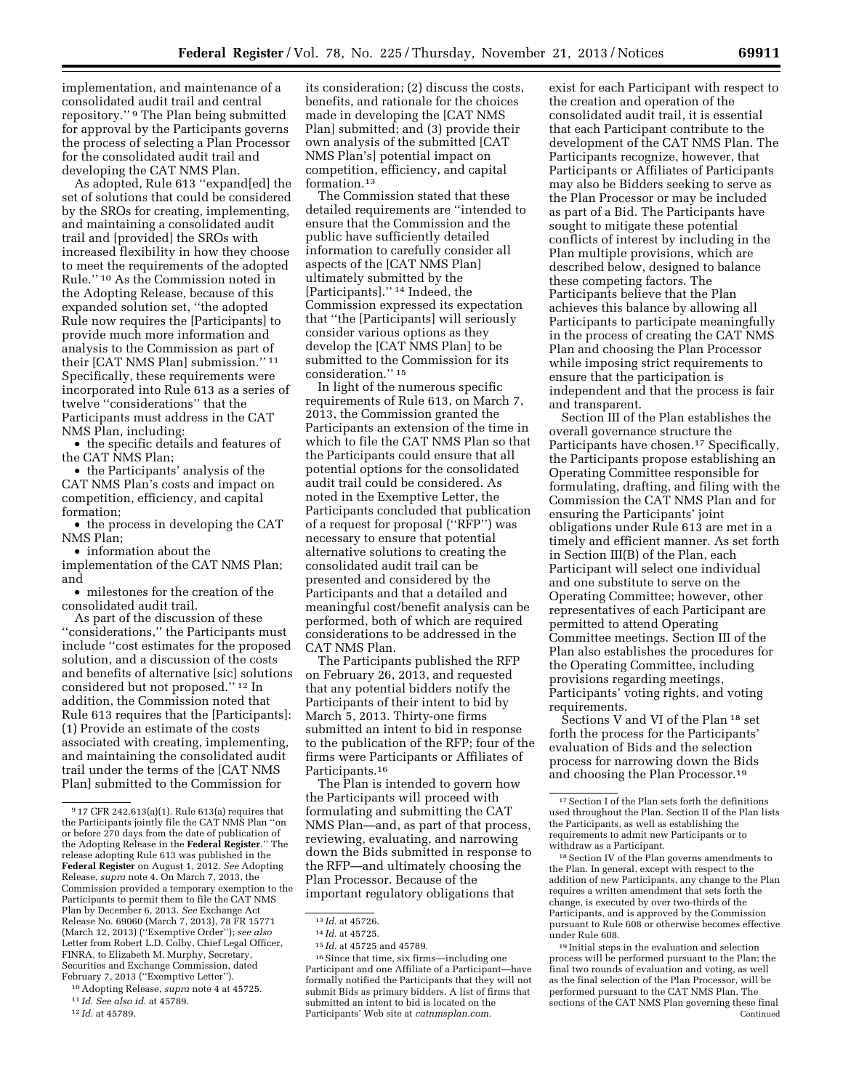implementation, and maintenance of a consolidated audit trail and central repository.'' 9 The Plan being submitted for approval by the Participants governs the process of selecting a Plan Processor for the consolidated audit trail and developing the CAT NMS Plan.

As adopted, Rule 613 ''expand[ed] the set of solutions that could be considered by the SROs for creating, implementing, and maintaining a consolidated audit trail and [provided] the SROs with increased flexibility in how they choose to meet the requirements of the adopted Rule.'' 10 As the Commission noted in the Adopting Release, because of this expanded solution set, ''the adopted Rule now requires the [Participants] to provide much more information and analysis to the Commission as part of their [CAT NMS Plan] submission.'' 11 Specifically, these requirements were incorporated into Rule 613 as a series of twelve ''considerations'' that the Participants must address in the CAT NMS Plan, including:

• the specific details and features of the CAT NMS Plan;

• the Participants' analysis of the CAT NMS Plan's costs and impact on competition, efficiency, and capital formation;

• the process in developing the CAT NMS Plan;

• information about the

implementation of the CAT NMS Plan; and

• milestones for the creation of the consolidated audit trail.

As part of the discussion of these ''considerations,'' the Participants must include ''cost estimates for the proposed solution, and a discussion of the costs and benefits of alternative [sic] solutions considered but not proposed.'' 12 In addition, the Commission noted that Rule 613 requires that the [Participants]: (1) Provide an estimate of the costs associated with creating, implementing, and maintaining the consolidated audit trail under the terms of the [CAT NMS Plan] submitted to the Commission for

10Adopting Release, *supra* note 4 at 45725.

12 *Id.* at 45789.

its consideration; (2) discuss the costs, benefits, and rationale for the choices made in developing the [CAT NMS Plan] submitted; and (3) provide their own analysis of the submitted [CAT NMS Plan's] potential impact on competition, efficiency, and capital formation.<sup>13</sup>

The Commission stated that these detailed requirements are ''intended to ensure that the Commission and the public have sufficiently detailed information to carefully consider all aspects of the [CAT NMS Plan] ultimately submitted by the [Participants].'' 14 Indeed, the Commission expressed its expectation that ''the [Participants] will seriously consider various options as they develop the [CAT NMS Plan] to be submitted to the Commission for its consideration.'' 15

In light of the numerous specific requirements of Rule 613, on March 7, 2013, the Commission granted the Participants an extension of the time in which to file the CAT NMS Plan so that the Participants could ensure that all potential options for the consolidated audit trail could be considered. As noted in the Exemptive Letter, the Participants concluded that publication of a request for proposal (''RFP'') was necessary to ensure that potential alternative solutions to creating the consolidated audit trail can be presented and considered by the Participants and that a detailed and meaningful cost/benefit analysis can be performed, both of which are required considerations to be addressed in the CAT NMS Plan.

The Participants published the RFP on February 26, 2013, and requested that any potential bidders notify the Participants of their intent to bid by March 5, 2013. Thirty-one firms submitted an intent to bid in response to the publication of the RFP; four of the firms were Participants or Affiliates of Participants.16

The Plan is intended to govern how the Participants will proceed with formulating and submitting the CAT NMS Plan—and, as part of that process, reviewing, evaluating, and narrowing down the Bids submitted in response to the RFP—and ultimately choosing the Plan Processor. Because of the important regulatory obligations that

exist for each Participant with respect to the creation and operation of the consolidated audit trail, it is essential that each Participant contribute to the development of the CAT NMS Plan. The Participants recognize, however, that Participants or Affiliates of Participants may also be Bidders seeking to serve as the Plan Processor or may be included as part of a Bid. The Participants have sought to mitigate these potential conflicts of interest by including in the Plan multiple provisions, which are described below, designed to balance these competing factors. The Participants believe that the Plan achieves this balance by allowing all Participants to participate meaningfully in the process of creating the CAT NMS Plan and choosing the Plan Processor while imposing strict requirements to ensure that the participation is independent and that the process is fair and transparent.

Section III of the Plan establishes the overall governance structure the Participants have chosen.<sup>17</sup> Specifically, the Participants propose establishing an Operating Committee responsible for formulating, drafting, and filing with the Commission the CAT NMS Plan and for ensuring the Participants' joint obligations under Rule 613 are met in a timely and efficient manner. As set forth in Section III(B) of the Plan, each Participant will select one individual and one substitute to serve on the Operating Committee; however, other representatives of each Participant are permitted to attend Operating Committee meetings. Section III of the Plan also establishes the procedures for the Operating Committee, including provisions regarding meetings, Participants' voting rights, and voting requirements.

Sections V and VI of the Plan 18 set forth the process for the Participants' evaluation of Bids and the selection process for narrowing down the Bids and choosing the Plan Processor.19

18Section IV of the Plan governs amendments to the Plan. In general, except with respect to the addition of new Participants, any change to the Plan requires a written amendment that sets forth the change, is executed by over two-thirds of the Participants, and is approved by the Commission pursuant to Rule 608 or otherwise becomes effective under Rule 608.

19 Initial steps in the evaluation and selection process will be performed pursuant to the Plan; the final two rounds of evaluation and voting, as well as the final selection of the Plan Processor, will be performed pursuant to the CAT NMS Plan. The sections of the CAT NMS Plan governing these final Continued

<sup>9</sup> 17 CFR 242.613(a)(1). Rule 613(a) requires that the Participants jointly file the CAT NMS Plan ''on or before 270 days from the date of publication of the Adopting Release in the **Federal Register**.'' The release adopting Rule 613 was published in the **Federal Register** on August 1, 2012. *See* Adopting Release, *supra* note 4. On March 7, 2013, the Commission provided a temporary exemption to the Participants to permit them to file the CAT NMS Plan by December 6, 2013. *See* Exchange Act Release No. 69060 (March 7, 2013), 78 FR 15771 (March 12, 2013) (''Exemptive Order''); *see also*  Letter from Robert L.D. Colby, Chief Legal Officer, FINRA, to Elizabeth M. Murphy, Secretary, Securities and Exchange Commission, dated February 7, 2013 (''Exemptive Letter'').

<sup>11</sup> *Id. See also id.* at 45789.

<sup>13</sup> *Id.* at 45726.

<sup>14</sup> *Id.* at 45725.

<sup>15</sup> *Id.* at 45725 and 45789.

<sup>16</sup>Since that time, six firms—including one Participant and one Affiliate of a Participant—have formally notified the Participants that they will not submit Bids as primary bidders. A list of firms that submitted an intent to bid is located on the Participants' Web site at *catnmsplan.com.* 

 $^{\rm 17}$  Section I of the Plan sets forth the definitions used throughout the Plan. Section II of the Plan lists the Participants, as well as establishing the requirements to admit new Participants or to withdraw as a Participant.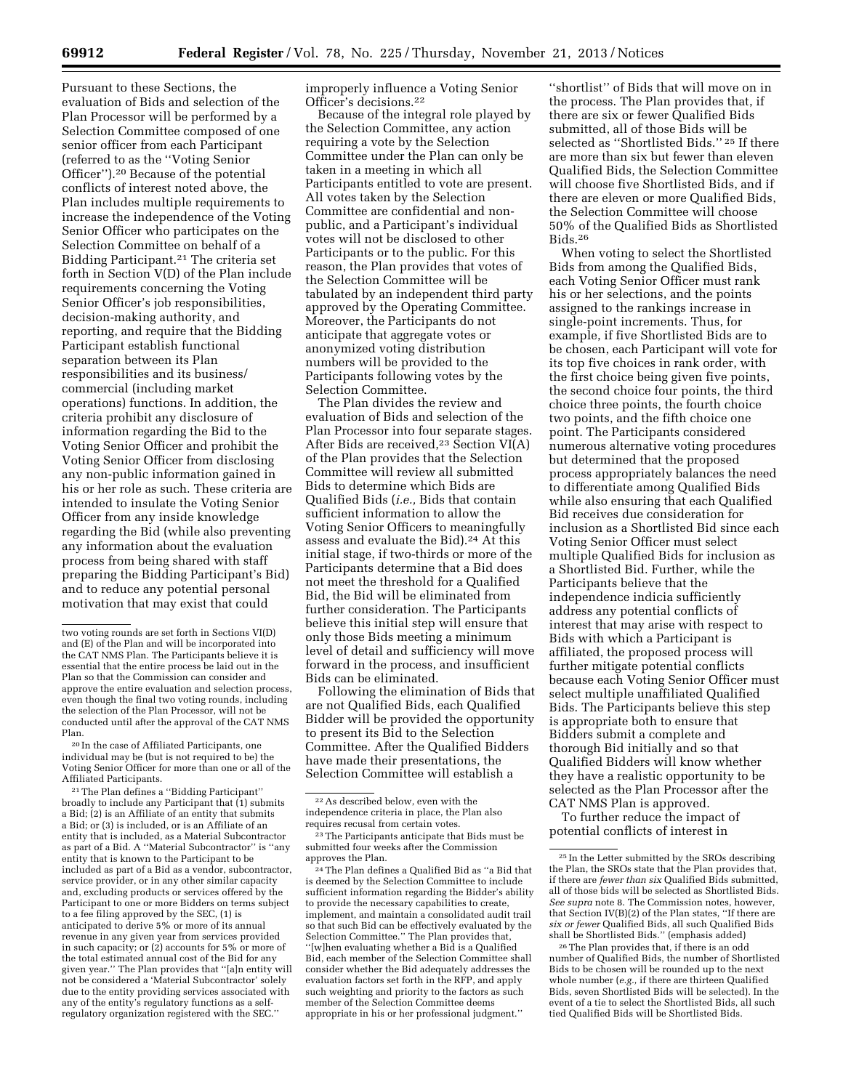Pursuant to these Sections, the evaluation of Bids and selection of the Plan Processor will be performed by a Selection Committee composed of one senior officer from each Participant (referred to as the ''Voting Senior Officer'').20 Because of the potential conflicts of interest noted above, the Plan includes multiple requirements to increase the independence of the Voting Senior Officer who participates on the Selection Committee on behalf of a Bidding Participant.21 The criteria set forth in Section V(D) of the Plan include requirements concerning the Voting Senior Officer's job responsibilities, decision-making authority, and reporting, and require that the Bidding Participant establish functional separation between its Plan responsibilities and its business/ commercial (including market operations) functions. In addition, the criteria prohibit any disclosure of information regarding the Bid to the Voting Senior Officer and prohibit the Voting Senior Officer from disclosing any non-public information gained in his or her role as such. These criteria are intended to insulate the Voting Senior Officer from any inside knowledge regarding the Bid (while also preventing any information about the evaluation process from being shared with staff preparing the Bidding Participant's Bid) and to reduce any potential personal motivation that may exist that could

20 In the case of Affiliated Participants, one individual may be (but is not required to be) the Voting Senior Officer for more than one or all of the Affiliated Participants.

21The Plan defines a ''Bidding Participant'' broadly to include any Participant that  $(1)$  submits a Bid; (2) is an Affiliate of an entity that submits a Bid; or (3) is included, or is an Affiliate of an entity that is included, as a Material Subcontractor as part of a Bid. A ''Material Subcontractor'' is ''any entity that is known to the Participant to be included as part of a Bid as a vendor, subcontractor, service provider, or in any other similar capacity and, excluding products or services offered by the Participant to one or more Bidders on terms subject to a fee filing approved by the SEC, (1) is anticipated to derive 5% or more of its annual revenue in any given year from services provided in such capacity; or (2) accounts for 5% or more of the total estimated annual cost of the Bid for any given year.'' The Plan provides that ''[a]n entity will not be considered a 'Material Subcontractor' solely due to the entity providing services associated with any of the entity's regulatory functions as a selfregulatory organization registered with the SEC.''

improperly influence a Voting Senior Officer's decisions.22

Because of the integral role played by the Selection Committee, any action requiring a vote by the Selection Committee under the Plan can only be taken in a meeting in which all Participants entitled to vote are present. All votes taken by the Selection Committee are confidential and nonpublic, and a Participant's individual votes will not be disclosed to other Participants or to the public. For this reason, the Plan provides that votes of the Selection Committee will be tabulated by an independent third party approved by the Operating Committee. Moreover, the Participants do not anticipate that aggregate votes or anonymized voting distribution numbers will be provided to the Participants following votes by the Selection Committee.

The Plan divides the review and evaluation of Bids and selection of the Plan Processor into four separate stages. After Bids are received,<sup>23</sup> Section VI(A) of the Plan provides that the Selection Committee will review all submitted Bids to determine which Bids are Qualified Bids (*i.e.,* Bids that contain sufficient information to allow the Voting Senior Officers to meaningfully assess and evaluate the Bid).24 At this initial stage, if two-thirds or more of the Participants determine that a Bid does not meet the threshold for a Qualified Bid, the Bid will be eliminated from further consideration. The Participants believe this initial step will ensure that only those Bids meeting a minimum level of detail and sufficiency will move forward in the process, and insufficient Bids can be eliminated.

Following the elimination of Bids that are not Qualified Bids, each Qualified Bidder will be provided the opportunity to present its Bid to the Selection Committee. After the Qualified Bidders have made their presentations, the Selection Committee will establish a

24The Plan defines a Qualified Bid as ''a Bid that is deemed by the Selection Committee to include sufficient information regarding the Bidder's ability to provide the necessary capabilities to create, implement, and maintain a consolidated audit trail so that such Bid can be effectively evaluated by the Selection Committee.'' The Plan provides that, ''[w]hen evaluating whether a Bid is a Qualified Bid, each member of the Selection Committee shall consider whether the Bid adequately addresses the evaluation factors set forth in the RFP, and apply such weighting and priority to the factors as such member of the Selection Committee deems appropriate in his or her professional judgment.''

''shortlist'' of Bids that will move on in the process. The Plan provides that, if there are six or fewer Qualified Bids submitted, all of those Bids will be selected as ''Shortlisted Bids.'' 25 If there are more than six but fewer than eleven Qualified Bids, the Selection Committee will choose five Shortlisted Bids, and if there are eleven or more Qualified Bids, the Selection Committee will choose 50% of the Qualified Bids as Shortlisted Bids.26

When voting to select the Shortlisted Bids from among the Qualified Bids, each Voting Senior Officer must rank his or her selections, and the points assigned to the rankings increase in single-point increments. Thus, for example, if five Shortlisted Bids are to be chosen, each Participant will vote for its top five choices in rank order, with the first choice being given five points, the second choice four points, the third choice three points, the fourth choice two points, and the fifth choice one point. The Participants considered numerous alternative voting procedures but determined that the proposed process appropriately balances the need to differentiate among Qualified Bids while also ensuring that each Qualified Bid receives due consideration for inclusion as a Shortlisted Bid since each Voting Senior Officer must select multiple Qualified Bids for inclusion as a Shortlisted Bid. Further, while the Participants believe that the independence indicia sufficiently address any potential conflicts of interest that may arise with respect to Bids with which a Participant is affiliated, the proposed process will further mitigate potential conflicts because each Voting Senior Officer must select multiple unaffiliated Qualified Bids. The Participants believe this step is appropriate both to ensure that Bidders submit a complete and thorough Bid initially and so that Qualified Bidders will know whether they have a realistic opportunity to be selected as the Plan Processor after the CAT NMS Plan is approved.

To further reduce the impact of potential conflicts of interest in

two voting rounds are set forth in Sections VI(D) and (E) of the Plan and will be incorporated into the CAT NMS Plan. The Participants believe it is essential that the entire process be laid out in the Plan so that the Commission can consider and approve the entire evaluation and selection process, even though the final two voting rounds, including the selection of the Plan Processor, will not be conducted until after the approval of the CAT NMS Plan.

<sup>22</sup>As described below, even with the independence criteria in place, the Plan also requires recusal from certain votes.

<sup>23</sup>The Participants anticipate that Bids must be submitted four weeks after the Commission approves the Plan.

<sup>25</sup> In the Letter submitted by the SROs describing the Plan, the SROs state that the Plan provides that, if there are *fewer than six* Qualified Bids submitted, all of those bids will be selected as Shortlisted Bids. *See supra* note 8. The Commission notes, however, that Section IV(B)(2) of the Plan states, ''If there are *six or fewer* Qualified Bids, all such Qualified Bids shall be Shortlisted Bids.'' (emphasis added)

<sup>26</sup>The Plan provides that, if there is an odd number of Qualified Bids, the number of Shortlisted Bids to be chosen will be rounded up to the next whole number (*e.g.,* if there are thirteen Qualified Bids, seven Shortlisted Bids will be selected). In the event of a tie to select the Shortlisted Bids, all such tied Qualified Bids will be Shortlisted Bids.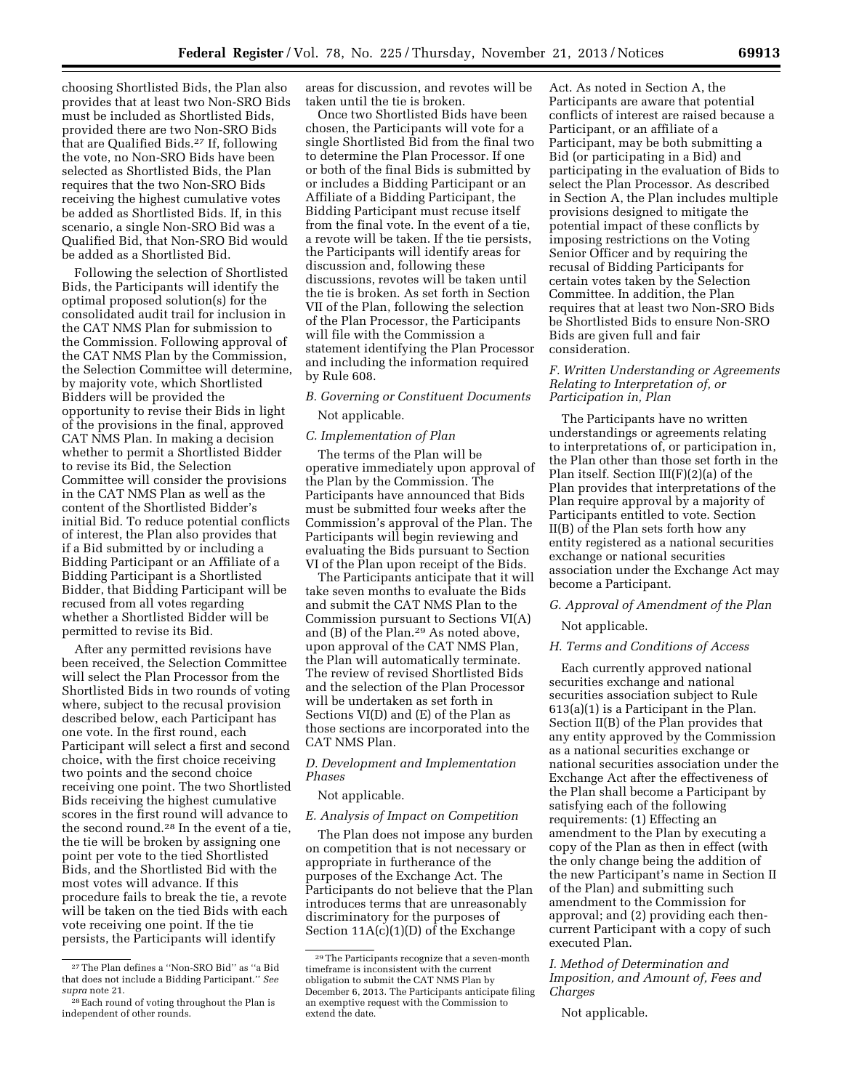choosing Shortlisted Bids, the Plan also provides that at least two Non-SRO Bids must be included as Shortlisted Bids, provided there are two Non-SRO Bids that are Qualified Bids.27 If, following the vote, no Non-SRO Bids have been selected as Shortlisted Bids, the Plan requires that the two Non-SRO Bids receiving the highest cumulative votes be added as Shortlisted Bids. If, in this scenario, a single Non-SRO Bid was a Qualified Bid, that Non-SRO Bid would be added as a Shortlisted Bid.

Following the selection of Shortlisted Bids, the Participants will identify the optimal proposed solution(s) for the consolidated audit trail for inclusion in the CAT NMS Plan for submission to the Commission. Following approval of the CAT NMS Plan by the Commission, the Selection Committee will determine, by majority vote, which Shortlisted Bidders will be provided the opportunity to revise their Bids in light of the provisions in the final, approved CAT NMS Plan. In making a decision whether to permit a Shortlisted Bidder to revise its Bid, the Selection Committee will consider the provisions in the CAT NMS Plan as well as the content of the Shortlisted Bidder's initial Bid. To reduce potential conflicts of interest, the Plan also provides that if a Bid submitted by or including a Bidding Participant or an Affiliate of a Bidding Participant is a Shortlisted Bidder, that Bidding Participant will be recused from all votes regarding whether a Shortlisted Bidder will be permitted to revise its Bid.

After any permitted revisions have been received, the Selection Committee will select the Plan Processor from the Shortlisted Bids in two rounds of voting where, subject to the recusal provision described below, each Participant has one vote. In the first round, each Participant will select a first and second choice, with the first choice receiving two points and the second choice receiving one point. The two Shortlisted Bids receiving the highest cumulative scores in the first round will advance to the second round.28 In the event of a tie, the tie will be broken by assigning one point per vote to the tied Shortlisted Bids, and the Shortlisted Bid with the most votes will advance. If this procedure fails to break the tie, a revote will be taken on the tied Bids with each vote receiving one point. If the tie persists, the Participants will identify

areas for discussion, and revotes will be taken until the tie is broken.

Once two Shortlisted Bids have been chosen, the Participants will vote for a single Shortlisted Bid from the final two to determine the Plan Processor. If one or both of the final Bids is submitted by or includes a Bidding Participant or an Affiliate of a Bidding Participant, the Bidding Participant must recuse itself from the final vote. In the event of a tie, a revote will be taken. If the tie persists, the Participants will identify areas for discussion and, following these discussions, revotes will be taken until the tie is broken. As set forth in Section VII of the Plan, following the selection of the Plan Processor, the Participants will file with the Commission a statement identifying the Plan Processor and including the information required by Rule 608.

### *B. Governing or Constituent Documents*  Not applicable.

### *C. Implementation of Plan*

The terms of the Plan will be operative immediately upon approval of the Plan by the Commission. The Participants have announced that Bids must be submitted four weeks after the Commission's approval of the Plan. The Participants will begin reviewing and evaluating the Bids pursuant to Section VI of the Plan upon receipt of the Bids.

The Participants anticipate that it will take seven months to evaluate the Bids and submit the CAT NMS Plan to the Commission pursuant to Sections VI(A) and (B) of the Plan.29 As noted above, upon approval of the CAT NMS Plan, the Plan will automatically terminate. The review of revised Shortlisted Bids and the selection of the Plan Processor will be undertaken as set forth in Sections VI(D) and (E) of the Plan as those sections are incorporated into the CAT NMS Plan.

### *D. Development and Implementation Phases*

#### Not applicable.

*E. Analysis of Impact on Competition* 

The Plan does not impose any burden on competition that is not necessary or appropriate in furtherance of the purposes of the Exchange Act. The Participants do not believe that the Plan introduces terms that are unreasonably discriminatory for the purposes of Section 11A(c)(1)(D) of the Exchange

Act. As noted in Section A, the Participants are aware that potential conflicts of interest are raised because a Participant, or an affiliate of a Participant, may be both submitting a Bid (or participating in a Bid) and participating in the evaluation of Bids to select the Plan Processor. As described in Section A, the Plan includes multiple provisions designed to mitigate the potential impact of these conflicts by imposing restrictions on the Voting Senior Officer and by requiring the recusal of Bidding Participants for certain votes taken by the Selection Committee. In addition, the Plan requires that at least two Non-SRO Bids be Shortlisted Bids to ensure Non-SRO Bids are given full and fair consideration.

### *F. Written Understanding or Agreements Relating to Interpretation of, or Participation in, Plan*

The Participants have no written understandings or agreements relating to interpretations of, or participation in, the Plan other than those set forth in the Plan itself. Section III(F)(2)(a) of the Plan provides that interpretations of the Plan require approval by a majority of Participants entitled to vote. Section II(B) of the Plan sets forth how any entity registered as a national securities exchange or national securities association under the Exchange Act may become a Participant.

### *G. Approval of Amendment of the Plan*

Not applicable.

### *H. Terms and Conditions of Access*

Each currently approved national securities exchange and national securities association subject to Rule 613(a)(1) is a Participant in the Plan. Section II(B) of the Plan provides that any entity approved by the Commission as a national securities exchange or national securities association under the Exchange Act after the effectiveness of the Plan shall become a Participant by satisfying each of the following requirements: (1) Effecting an amendment to the Plan by executing a copy of the Plan as then in effect (with the only change being the addition of the new Participant's name in Section II of the Plan) and submitting such amendment to the Commission for approval; and (2) providing each thencurrent Participant with a copy of such executed Plan.

*I. Method of Determination and Imposition, and Amount of, Fees and Charges* 

Not applicable.

<sup>27</sup>The Plan defines a ''Non-SRO Bid'' as ''a Bid that does not include a Bidding Participant.'' *See supra* note 21.

<sup>28</sup>Each round of voting throughout the Plan is independent of other rounds.

<sup>29</sup>The Participants recognize that a seven-month timeframe is inconsistent with the current obligation to submit the CAT NMS Plan by December 6, 2013. The Participants anticipate filing an exemptive request with the Commission to extend the date.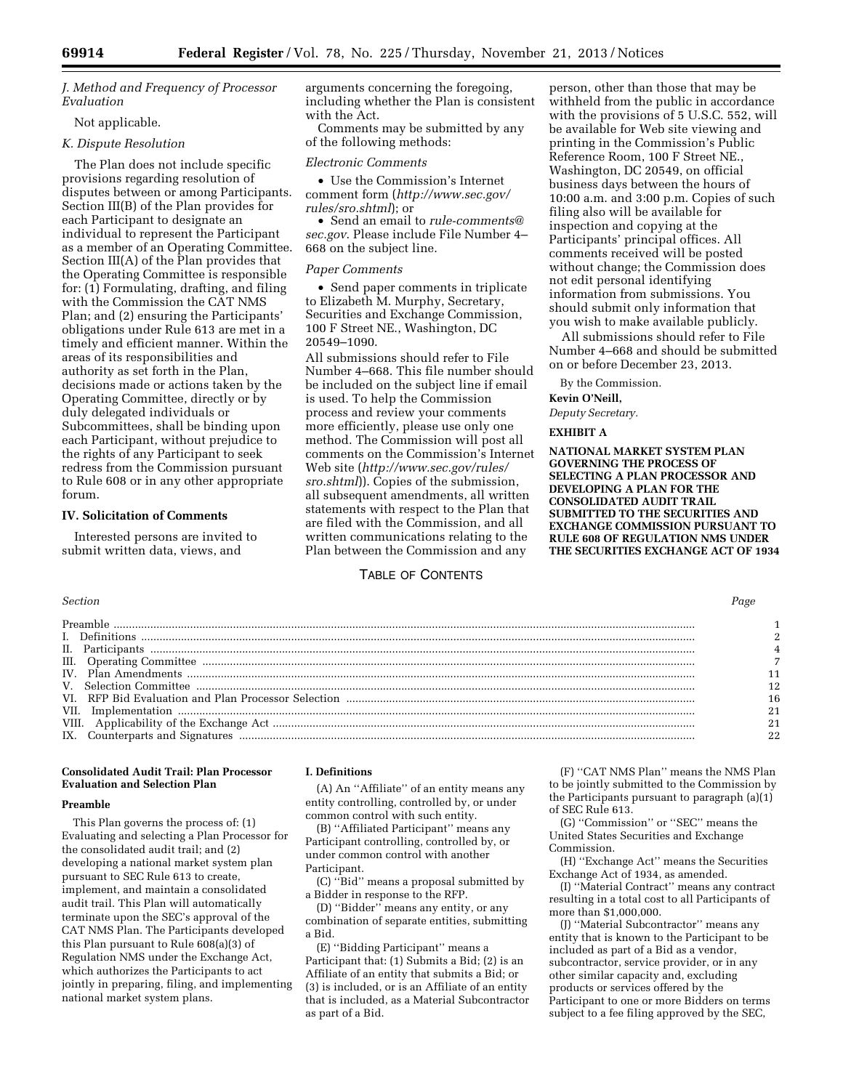*J. Method and Frequency of Processor Evaluation* 

### Not applicable.

### *K. Dispute Resolution*

The Plan does not include specific provisions regarding resolution of disputes between or among Participants. Section III(B) of the Plan provides for each Participant to designate an individual to represent the Participant as a member of an Operating Committee. Section III(A) of the Plan provides that the Operating Committee is responsible for: (1) Formulating, drafting, and filing with the Commission the CAT NMS Plan; and (2) ensuring the Participants' obligations under Rule 613 are met in a timely and efficient manner. Within the areas of its responsibilities and authority as set forth in the Plan, decisions made or actions taken by the Operating Committee, directly or by duly delegated individuals or Subcommittees, shall be binding upon each Participant, without prejudice to the rights of any Participant to seek redress from the Commission pursuant to Rule 608 or in any other appropriate forum.

#### **IV. Solicitation of Comments**

Interested persons are invited to submit written data, views, and

arguments concerning the foregoing, including whether the Plan is consistent with the Act.

Comments may be submitted by any of the following methods:

#### *Electronic Comments*

• Use the Commission's Internet comment form (*[http://www.sec.gov/](http://www.sec.gov/rules/sro.shtml) [rules/sro.shtml](http://www.sec.gov/rules/sro.shtml)*); or

• Send an email to *[rule-comments@](mailto:rule-comments@sec.gov) [sec.gov](mailto:rule-comments@sec.gov)*. Please include File Number 4– 668 on the subject line.

#### *Paper Comments*

• Send paper comments in triplicate to Elizabeth M. Murphy, Secretary, Securities and Exchange Commission, 100 F Street NE., Washington, DC 20549–1090.

All submissions should refer to File Number 4–668. This file number should be included on the subject line if email is used. To help the Commission process and review your comments more efficiently, please use only one method. The Commission will post all comments on the Commission's Internet Web site (*[http://www.sec.gov/rules/](http://www.sec.gov/rules/sro.shtml) [sro.shtml](http://www.sec.gov/rules/sro.shtml)*)). Copies of the submission, all subsequent amendments, all written statements with respect to the Plan that are filed with the Commission, and all written communications relating to the Plan between the Commission and any

### TABLE OF CONTENTS

person, other than those that may be withheld from the public in accordance with the provisions of 5 U.S.C. 552, will be available for Web site viewing and printing in the Commission's Public Reference Room, 100 F Street NE., Washington, DC 20549, on official business days between the hours of 10:00 a.m. and 3:00 p.m. Copies of such filing also will be available for inspection and copying at the Participants' principal offices. All comments received will be posted without change; the Commission does not edit personal identifying information from submissions. You should submit only information that you wish to make available publicly.

All submissions should refer to File Number 4–668 and should be submitted on or before December 23, 2013.

By the Commission.

#### **Kevin O'Neill,**

*Deputy Secretary.* 

### **EXHIBIT A**

**NATIONAL MARKET SYSTEM PLAN GOVERNING THE PROCESS OF SELECTING A PLAN PROCESSOR AND DEVELOPING A PLAN FOR THE CONSOLIDATED AUDIT TRAIL SUBMITTED TO THE SECURITIES AND EXCHANGE COMMISSION PURSUANT TO RULE 608 OF REGULATION NMS UNDER THE SECURITIES EXCHANGE ACT OF 1934** 

### **Consolidated Audit Trail: Plan Processor Evaluation and Selection Plan**

### **Preamble**

This Plan governs the process of: (1) Evaluating and selecting a Plan Processor for the consolidated audit trail; and (2) developing a national market system plan pursuant to SEC Rule 613 to create, implement, and maintain a consolidated audit trail. This Plan will automatically terminate upon the SEC's approval of the CAT NMS Plan. The Participants developed this Plan pursuant to Rule 608(a)(3) of Regulation NMS under the Exchange Act, which authorizes the Participants to act jointly in preparing, filing, and implementing national market system plans.

#### **I. Definitions**

(A) An ''Affiliate'' of an entity means any entity controlling, controlled by, or under common control with such entity.

(B) ''Affiliated Participant'' means any Participant controlling, controlled by, or under common control with another Participant.

(C) ''Bid'' means a proposal submitted by a Bidder in response to the RFP.

(D) ''Bidder'' means any entity, or any combination of separate entities, submitting a Bid.

(E) ''Bidding Participant'' means a Participant that: (1) Submits a Bid; (2) is an Affiliate of an entity that submits a Bid; or (3) is included, or is an Affiliate of an entity that is included, as a Material Subcontractor as part of a Bid.

(F) ''CAT NMS Plan'' means the NMS Plan to be jointly submitted to the Commission by the Participants pursuant to paragraph (a)(1) of SEC Rule 613.

(G) ''Commission'' or ''SEC'' means the United States Securities and Exchange Commission.

(H) ''Exchange Act'' means the Securities Exchange Act of 1934, as amended.

(I) ''Material Contract'' means any contract resulting in a total cost to all Participants of more than \$1,000,000.

(J) ''Material Subcontractor'' means any entity that is known to the Participant to be included as part of a Bid as a vendor, subcontractor, service provider, or in any other similar capacity and, excluding products or services offered by the Participant to one or more Bidders on terms subject to a fee filing approved by the SEC,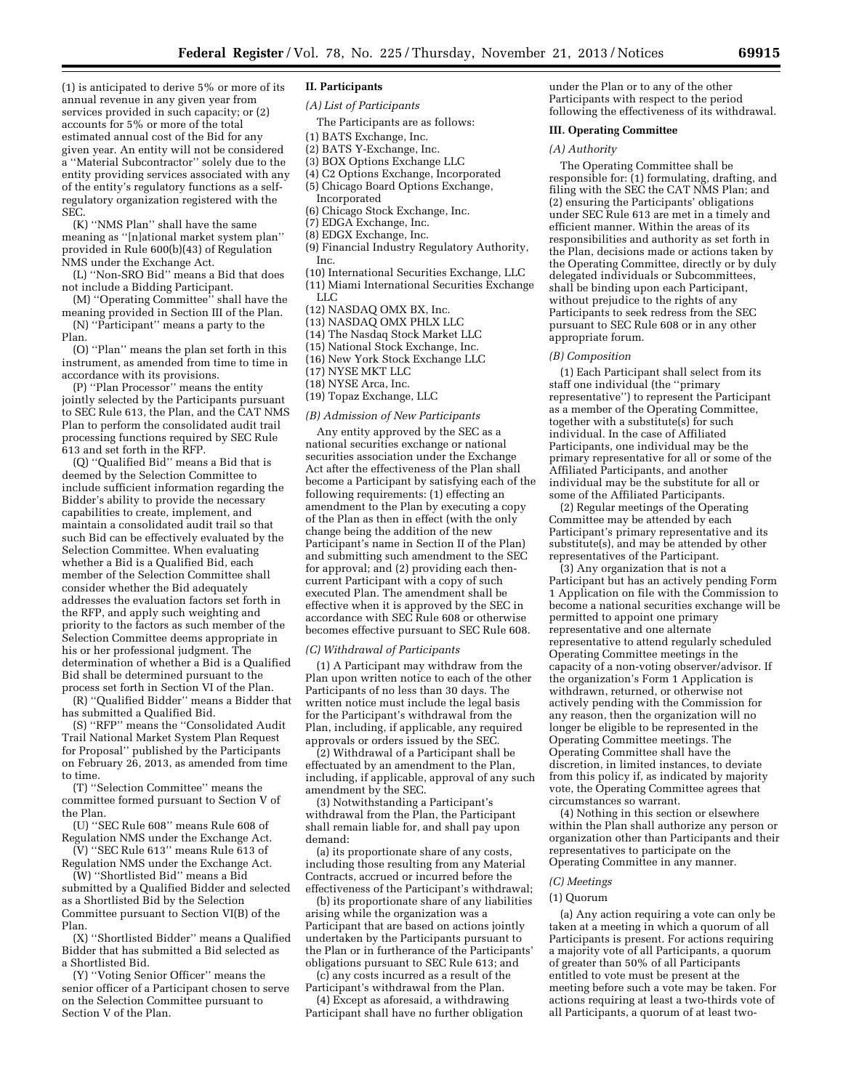(1) is anticipated to derive 5% or more of its annual revenue in any given year from services provided in such capacity; or (2) accounts for 5% or more of the total estimated annual cost of the Bid for any given year. An entity will not be considered a ''Material Subcontractor'' solely due to the entity providing services associated with any of the entity's regulatory functions as a selfregulatory organization registered with the SEC.

(K) ''NMS Plan'' shall have the same meaning as ''[n]ational market system plan'' provided in Rule 600(b)(43) of Regulation NMS under the Exchange Act.

(L) ''Non-SRO Bid'' means a Bid that does not include a Bidding Participant.

(M) ''Operating Committee'' shall have the meaning provided in Section III of the Plan.

(N) ''Participant'' means a party to the Plan.

(O) ''Plan'' means the plan set forth in this instrument, as amended from time to time in accordance with its provisions.

(P) ''Plan Processor'' means the entity jointly selected by the Participants pursuant to SEC Rule 613, the Plan, and the CAT NMS Plan to perform the consolidated audit trail processing functions required by SEC Rule 613 and set forth in the RFP.

(Q) ''Qualified Bid'' means a Bid that is deemed by the Selection Committee to include sufficient information regarding the Bidder's ability to provide the necessary capabilities to create, implement, and maintain a consolidated audit trail so that such Bid can be effectively evaluated by the Selection Committee. When evaluating whether a Bid is a Qualified Bid, each member of the Selection Committee shall consider whether the Bid adequately addresses the evaluation factors set forth in the RFP, and apply such weighting and priority to the factors as such member of the Selection Committee deems appropriate in his or her professional judgment. The determination of whether a Bid is a Qualified Bid shall be determined pursuant to the process set forth in Section VI of the Plan.

(R) ''Qualified Bidder'' means a Bidder that has submitted a Qualified Bid.

(S) ''RFP'' means the ''Consolidated Audit Trail National Market System Plan Request for Proposal'' published by the Participants on February 26, 2013, as amended from time to time.

(T) ''Selection Committee'' means the committee formed pursuant to Section V of the Plan.

(U) ''SEC Rule 608'' means Rule 608 of Regulation NMS under the Exchange Act.

(V) ''SEC Rule 613'' means Rule 613 of Regulation NMS under the Exchange Act.

(W) ''Shortlisted Bid'' means a Bid submitted by a Qualified Bidder and selected as a Shortlisted Bid by the Selection Committee pursuant to Section VI(B) of the Plan.

(X) ''Shortlisted Bidder'' means a Qualified Bidder that has submitted a Bid selected as a Shortlisted Bid.

(Y) ''Voting Senior Officer'' means the senior officer of a Participant chosen to serve on the Selection Committee pursuant to Section V of the Plan.

### **II. Participants**

*(A) List of Participants* 

The Participants are as follows:

- (1) BATS Exchange, Inc.
- (2) BATS Y-Exchange, Inc.
- (3) BOX Options Exchange LLC
- (4) C2 Options Exchange, Incorporated
- (5) Chicago Board Options Exchange,
- Incorporated
- (6) Chicago Stock Exchange, Inc.
- (7) EDGA Exchange, Inc.
- (8) EDGX Exchange, Inc.
- (9) Financial Industry Regulatory Authority, Inc.
- (10) International Securities Exchange, LLC (11) Miami International Securities Exchange
- LLC
- (12) NASDAQ OMX BX, Inc.
- (13) NASDAQ OMX PHLX LLC
- (14) The Nasdaq Stock Market LLC
- (15) National Stock Exchange, Inc.
- (16) New York Stock Exchange LLC
- (17) NYSE MKT LLC
- (18) NYSE Arca, Inc.
- (19) Topaz Exchange, LLC

#### *(B) Admission of New Participants*

Any entity approved by the SEC as a national securities exchange or national securities association under the Exchange Act after the effectiveness of the Plan shall become a Participant by satisfying each of the following requirements: (1) effecting an amendment to the Plan by executing a copy of the Plan as then in effect (with the only change being the addition of the new Participant's name in Section II of the Plan) and submitting such amendment to the SEC for approval; and (2) providing each thencurrent Participant with a copy of such executed Plan. The amendment shall be effective when it is approved by the SEC in accordance with SEC Rule 608 or otherwise becomes effective pursuant to SEC Rule 608.

#### *(C) Withdrawal of Participants*

(1) A Participant may withdraw from the Plan upon written notice to each of the other Participants of no less than 30 days. The written notice must include the legal basis for the Participant's withdrawal from the Plan, including, if applicable, any required approvals or orders issued by the SEC.

(2) Withdrawal of a Participant shall be effectuated by an amendment to the Plan, including, if applicable, approval of any such amendment by the SEC.

(3) Notwithstanding a Participant's withdrawal from the Plan, the Participant shall remain liable for, and shall pay upon demand:

(a) its proportionate share of any costs, including those resulting from any Material Contracts, accrued or incurred before the effectiveness of the Participant's withdrawal;

(b) its proportionate share of any liabilities arising while the organization was a Participant that are based on actions jointly undertaken by the Participants pursuant to the Plan or in furtherance of the Participants' obligations pursuant to SEC Rule 613; and

(c) any costs incurred as a result of the Participant's withdrawal from the Plan.

(4) Except as aforesaid, a withdrawing Participant shall have no further obligation

under the Plan or to any of the other Participants with respect to the period following the effectiveness of its withdrawal.

#### **III. Operating Committee**

#### *(A) Authority*

The Operating Committee shall be responsible for: (1) formulating, drafting, and filing with the SEC the CAT NMS Plan; and (2) ensuring the Participants' obligations under SEC Rule 613 are met in a timely and efficient manner. Within the areas of its responsibilities and authority as set forth in the Plan, decisions made or actions taken by the Operating Committee, directly or by duly delegated individuals or Subcommittees, shall be binding upon each Participant, without prejudice to the rights of any Participants to seek redress from the SEC pursuant to SEC Rule 608 or in any other appropriate forum.

#### *(B) Composition*

(1) Each Participant shall select from its staff one individual (the ''primary representative'') to represent the Participant as a member of the Operating Committee, together with a substitute(s) for such individual. In the case of Affiliated Participants, one individual may be the primary representative for all or some of the Affiliated Participants, and another individual may be the substitute for all or some of the Affiliated Participants.

(2) Regular meetings of the Operating Committee may be attended by each Participant's primary representative and its substitute(s), and may be attended by other representatives of the Participant.

(3) Any organization that is not a Participant but has an actively pending Form 1 Application on file with the Commission to become a national securities exchange will be permitted to appoint one primary representative and one alternate representative to attend regularly scheduled Operating Committee meetings in the capacity of a non-voting observer/advisor. If the organization's Form 1 Application is withdrawn, returned, or otherwise not actively pending with the Commission for any reason, then the organization will no longer be eligible to be represented in the Operating Committee meetings. The Operating Committee shall have the discretion, in limited instances, to deviate from this policy if, as indicated by majority vote, the Operating Committee agrees that circumstances so warrant.

(4) Nothing in this section or elsewhere within the Plan shall authorize any person or organization other than Participants and their representatives to participate on the Operating Committee in any manner.

#### *(C) Meetings*

### (1) Quorum

(a) Any action requiring a vote can only be taken at a meeting in which a quorum of all Participants is present. For actions requiring a majority vote of all Participants, a quorum of greater than 50% of all Participants entitled to vote must be present at the meeting before such a vote may be taken. For actions requiring at least a two-thirds vote of all Participants, a quorum of at least two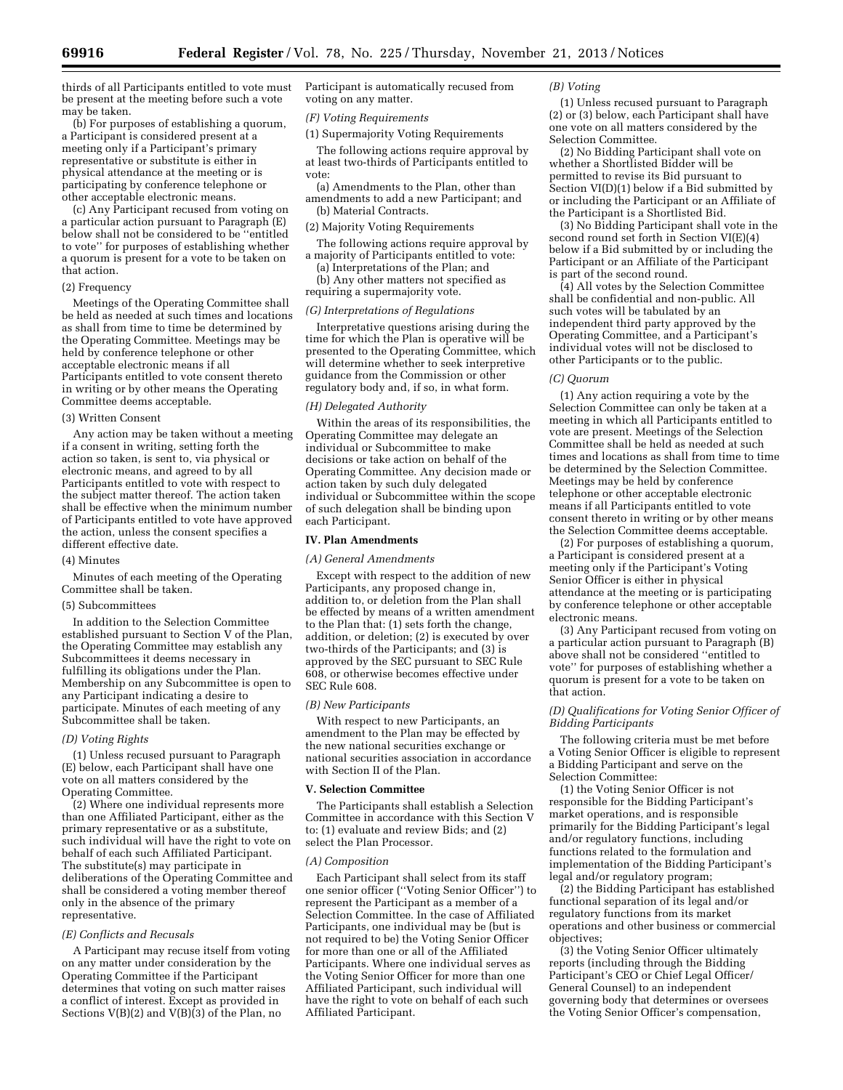thirds of all Participants entitled to vote must be present at the meeting before such a vote may be taken.

(b) For purposes of establishing a quorum, a Participant is considered present at a meeting only if a Participant's primary representative or substitute is either in physical attendance at the meeting or is participating by conference telephone or other acceptable electronic means.

(c) Any Participant recused from voting on a particular action pursuant to Paragraph (E) below shall not be considered to be ''entitled to vote'' for purposes of establishing whether a quorum is present for a vote to be taken on that action.

#### (2) Frequency

Meetings of the Operating Committee shall be held as needed at such times and locations as shall from time to time be determined by the Operating Committee. Meetings may be held by conference telephone or other acceptable electronic means if all Participants entitled to vote consent thereto in writing or by other means the Operating Committee deems acceptable.

#### (3) Written Consent

Any action may be taken without a meeting if a consent in writing, setting forth the action so taken, is sent to, via physical or electronic means, and agreed to by all Participants entitled to vote with respect to the subject matter thereof. The action taken shall be effective when the minimum number of Participants entitled to vote have approved the action, unless the consent specifies a different effective date.

#### (4) Minutes

Minutes of each meeting of the Operating Committee shall be taken.

#### (5) Subcommittees

In addition to the Selection Committee established pursuant to Section V of the Plan, the Operating Committee may establish any Subcommittees it deems necessary in fulfilling its obligations under the Plan. Membership on any Subcommittee is open to any Participant indicating a desire to participate. Minutes of each meeting of any Subcommittee shall be taken.

#### *(D) Voting Rights*

(1) Unless recused pursuant to Paragraph (E) below, each Participant shall have one vote on all matters considered by the Operating Committee.

(2) Where one individual represents more than one Affiliated Participant, either as the primary representative or as a substitute, such individual will have the right to vote on behalf of each such Affiliated Participant. The substitute(s) may participate in deliberations of the Operating Committee and shall be considered a voting member thereof only in the absence of the primary representative.

#### *(E) Conflicts and Recusals*

A Participant may recuse itself from voting on any matter under consideration by the Operating Committee if the Participant determines that voting on such matter raises a conflict of interest. Except as provided in Sections  $V(B)(2)$  and  $V(B)(3)$  of the Plan, no

Participant is automatically recused from voting on any matter.

#### *(F) Voting Requirements*

(1) Supermajority Voting Requirements

The following actions require approval by at least two-thirds of Participants entitled to vote:

(a) Amendments to the Plan, other than amendments to add a new Participant; and (b) Material Contracts.

(2) Majority Voting Requirements

The following actions require approval by a majority of Participants entitled to vote:

(a) Interpretations of the Plan; and (b) Any other matters not specified as requiring a supermajority vote.

## *(G) Interpretations of Regulations*

Interpretative questions arising during the time for which the Plan is operative will be presented to the Operating Committee, which will determine whether to seek interpretive guidance from the Commission or other regulatory body and, if so, in what form.

#### *(H) Delegated Authority*

Within the areas of its responsibilities, the Operating Committee may delegate an individual or Subcommittee to make decisions or take action on behalf of the Operating Committee. Any decision made or action taken by such duly delegated individual or Subcommittee within the scope of such delegation shall be binding upon each Participant.

#### **IV. Plan Amendments**

#### *(A) General Amendments*

Except with respect to the addition of new Participants, any proposed change in, addition to, or deletion from the Plan shall be effected by means of a written amendment to the Plan that: (1) sets forth the change, addition, or deletion; (2) is executed by over two-thirds of the Participants; and (3) is approved by the SEC pursuant to SEC Rule 608, or otherwise becomes effective under SEC Rule 608.

#### *(B) New Participants*

With respect to new Participants, an amendment to the Plan may be effected by the new national securities exchange or national securities association in accordance with Section II of the Plan.

#### **V. Selection Committee**

The Participants shall establish a Selection Committee in accordance with this Section V to: (1) evaluate and review Bids; and (2) select the Plan Processor.

#### *(A) Composition*

Each Participant shall select from its staff one senior officer (''Voting Senior Officer'') to represent the Participant as a member of a Selection Committee. In the case of Affiliated Participants, one individual may be (but is not required to be) the Voting Senior Officer for more than one or all of the Affiliated Participants. Where one individual serves as the Voting Senior Officer for more than one Affiliated Participant, such individual will have the right to vote on behalf of each such Affiliated Participant.

#### *(B) Voting*

(1) Unless recused pursuant to Paragraph (2) or (3) below, each Participant shall have one vote on all matters considered by the Selection Committee.

(2) No Bidding Participant shall vote on whether a Shortlisted Bidder will be permitted to revise its Bid pursuant to Section VI(D)(1) below if a Bid submitted by or including the Participant or an Affiliate of the Participant is a Shortlisted Bid.

(3) No Bidding Participant shall vote in the second round set forth in Section VI(E)(4) below if a Bid submitted by or including the Participant or an Affiliate of the Participant is part of the second round.

(4) All votes by the Selection Committee shall be confidential and non-public. All such votes will be tabulated by an independent third party approved by the Operating Committee, and a Participant's individual votes will not be disclosed to other Participants or to the public.

#### *(C) Quorum*

(1) Any action requiring a vote by the Selection Committee can only be taken at a meeting in which all Participants entitled to vote are present. Meetings of the Selection Committee shall be held as needed at such times and locations as shall from time to time be determined by the Selection Committee. Meetings may be held by conference telephone or other acceptable electronic means if all Participants entitled to vote consent thereto in writing or by other means the Selection Committee deems acceptable.

(2) For purposes of establishing a quorum, a Participant is considered present at a meeting only if the Participant's Voting Senior Officer is either in physical attendance at the meeting or is participating by conference telephone or other acceptable electronic means.

(3) Any Participant recused from voting on a particular action pursuant to Paragraph (B) above shall not be considered ''entitled to vote'' for purposes of establishing whether a quorum is present for a vote to be taken on that action.

### *(D) Qualifications for Voting Senior Officer of Bidding Participants*

The following criteria must be met before a Voting Senior Officer is eligible to represent a Bidding Participant and serve on the Selection Committee:

(1) the Voting Senior Officer is not responsible for the Bidding Participant's market operations, and is responsible primarily for the Bidding Participant's legal and/or regulatory functions, including functions related to the formulation and implementation of the Bidding Participant's legal and/or regulatory program;

(2) the Bidding Participant has established functional separation of its legal and/or regulatory functions from its market operations and other business or commercial objectives;

(3) the Voting Senior Officer ultimately reports (including through the Bidding Participant's CEO or Chief Legal Officer/ General Counsel) to an independent governing body that determines or oversees the Voting Senior Officer's compensation,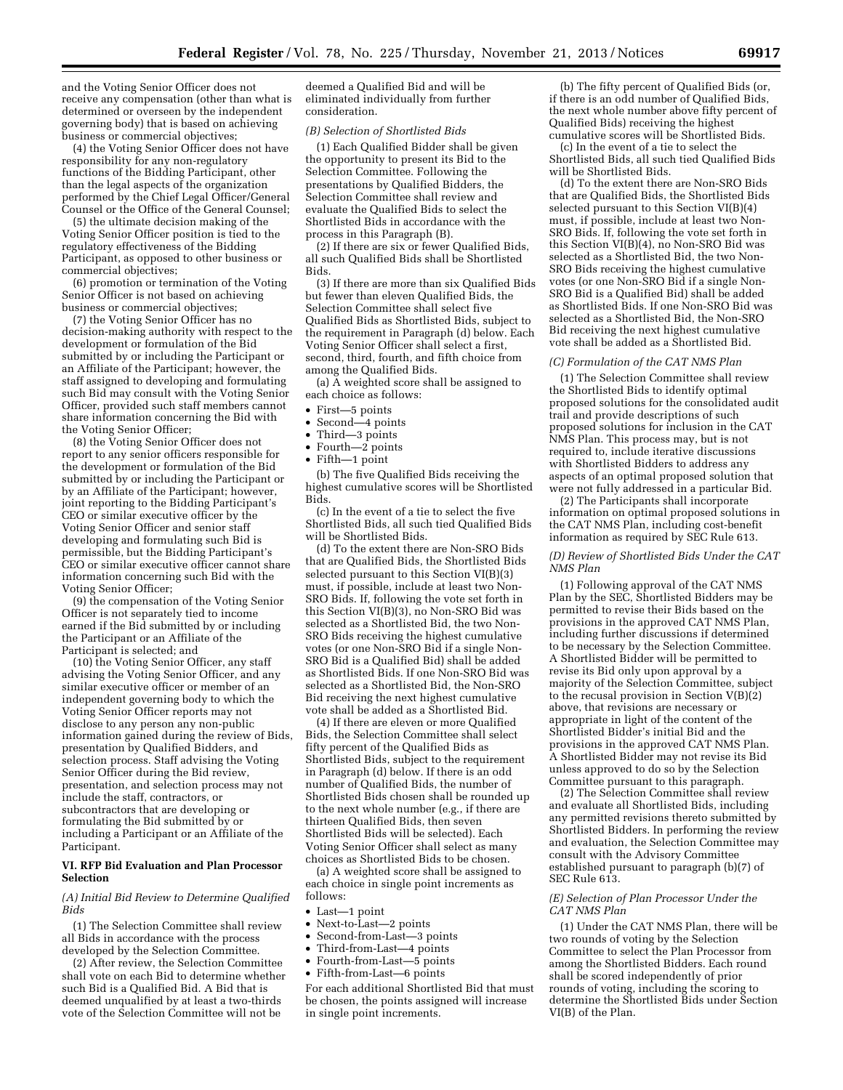and the Voting Senior Officer does not receive any compensation (other than what is determined or overseen by the independent governing body) that is based on achieving business or commercial objectives;

(4) the Voting Senior Officer does not have responsibility for any non-regulatory functions of the Bidding Participant, other than the legal aspects of the organization performed by the Chief Legal Officer/General Counsel or the Office of the General Counsel;

(5) the ultimate decision making of the Voting Senior Officer position is tied to the regulatory effectiveness of the Bidding Participant, as opposed to other business or commercial objectives;

(6) promotion or termination of the Voting Senior Officer is not based on achieving business or commercial objectives;

(7) the Voting Senior Officer has no decision-making authority with respect to the development or formulation of the Bid submitted by or including the Participant or an Affiliate of the Participant; however, the staff assigned to developing and formulating such Bid may consult with the Voting Senior Officer, provided such staff members cannot share information concerning the Bid with the Voting Senior Officer;

(8) the Voting Senior Officer does not report to any senior officers responsible for the development or formulation of the Bid submitted by or including the Participant or by an Affiliate of the Participant; however, joint reporting to the Bidding Participant's CEO or similar executive officer by the Voting Senior Officer and senior staff developing and formulating such Bid is permissible, but the Bidding Participant's CEO or similar executive officer cannot share information concerning such Bid with the Voting Senior Officer;

(9) the compensation of the Voting Senior Officer is not separately tied to income earned if the Bid submitted by or including the Participant or an Affiliate of the Participant is selected; and

(10) the Voting Senior Officer, any staff advising the Voting Senior Officer, and any similar executive officer or member of an independent governing body to which the Voting Senior Officer reports may not disclose to any person any non-public information gained during the review of Bids, presentation by Qualified Bidders, and selection process. Staff advising the Voting Senior Officer during the Bid review, presentation, and selection process may not include the staff, contractors, or subcontractors that are developing or formulating the Bid submitted by or including a Participant or an Affiliate of the Participant.

#### **VI. RFP Bid Evaluation and Plan Processor Selection**

*(A) Initial Bid Review to Determine Qualified Bids* 

(1) The Selection Committee shall review all Bids in accordance with the process developed by the Selection Committee.

(2) After review, the Selection Committee shall vote on each Bid to determine whether such Bid is a Qualified Bid. A Bid that is deemed unqualified by at least a two-thirds vote of the Selection Committee will not be

deemed a Qualified Bid and will be eliminated individually from further consideration.

#### *(B) Selection of Shortlisted Bids*

(1) Each Qualified Bidder shall be given the opportunity to present its Bid to the Selection Committee. Following the presentations by Qualified Bidders, the Selection Committee shall review and evaluate the Qualified Bids to select the Shortlisted Bids in accordance with the process in this Paragraph (B).

(2) If there are six or fewer Qualified Bids, all such Qualified Bids shall be Shortlisted Bids.

(3) If there are more than six Qualified Bids but fewer than eleven Qualified Bids, the Selection Committee shall select five Qualified Bids as Shortlisted Bids, subject to the requirement in Paragraph (d) below. Each Voting Senior Officer shall select a first, second, third, fourth, and fifth choice from among the Qualified Bids.

(a) A weighted score shall be assigned to each choice as follows:

- First—5 points
- Second—4 points
- Third—3 points
- Fourth—2 points
- Fifth—1 point

(b) The five Qualified Bids receiving the highest cumulative scores will be Shortlisted Bids.

(c) In the event of a tie to select the five Shortlisted Bids, all such tied Qualified Bids will be Shortlisted Bids.

(d) To the extent there are Non-SRO Bids that are Qualified Bids, the Shortlisted Bids selected pursuant to this Section VI(B)(3) must, if possible, include at least two Non-SRO Bids. If, following the vote set forth in this Section VI(B)(3), no Non-SRO Bid was selected as a Shortlisted Bid, the two Non-SRO Bids receiving the highest cumulative votes (or one Non-SRO Bid if a single Non-SRO Bid is a Qualified Bid) shall be added as Shortlisted Bids. If one Non-SRO Bid was selected as a Shortlisted Bid, the Non-SRO Bid receiving the next highest cumulative vote shall be added as a Shortlisted Bid.

(4) If there are eleven or more Qualified Bids, the Selection Committee shall select fifty percent of the Qualified Bids as Shortlisted Bids, subject to the requirement in Paragraph (d) below. If there is an odd number of Qualified Bids, the number of Shortlisted Bids chosen shall be rounded up to the next whole number (e.g., if there are thirteen Qualified Bids, then seven Shortlisted Bids will be selected). Each Voting Senior Officer shall select as many choices as Shortlisted Bids to be chosen.

(a) A weighted score shall be assigned to each choice in single point increments as follows:

- Last—1 point
- Next-to-Last—2 points
- Second-from-Last—3 points
- Third-from-Last—4 points
- Fourth-from-Last—5 points
- Fifth-from-Last—6 points

For each additional Shortlisted Bid that must be chosen, the points assigned will increase in single point increments.

(b) The fifty percent of Qualified Bids (or, if there is an odd number of Qualified Bids, the next whole number above fifty percent of Qualified Bids) receiving the highest cumulative scores will be Shortlisted Bids.

(c) In the event of a tie to select the Shortlisted Bids, all such tied Qualified Bids will be Shortlisted Bids.

(d) To the extent there are Non-SRO Bids that are Qualified Bids, the Shortlisted Bids selected pursuant to this Section VI(B)(4) must, if possible, include at least two Non-SRO Bids. If, following the vote set forth in this Section VI(B)(4), no Non-SRO Bid was selected as a Shortlisted Bid, the two Non-SRO Bids receiving the highest cumulative votes (or one Non-SRO Bid if a single Non-SRO Bid is a Qualified Bid) shall be added as Shortlisted Bids. If one Non-SRO Bid was selected as a Shortlisted Bid, the Non-SRO Bid receiving the next highest cumulative vote shall be added as a Shortlisted Bid.

#### *(C) Formulation of the CAT NMS Plan*

(1) The Selection Committee shall review the Shortlisted Bids to identify optimal proposed solutions for the consolidated audit trail and provide descriptions of such proposed solutions for inclusion in the CAT NMS Plan. This process may, but is not required to, include iterative discussions with Shortlisted Bidders to address any aspects of an optimal proposed solution that were not fully addressed in a particular Bid.

(2) The Participants shall incorporate information on optimal proposed solutions in the CAT NMS Plan, including cost-benefit information as required by SEC Rule 613.

#### *(D) Review of Shortlisted Bids Under the CAT NMS Plan*

(1) Following approval of the CAT NMS Plan by the SEC, Shortlisted Bidders may be permitted to revise their Bids based on the provisions in the approved CAT NMS Plan, including further discussions if determined to be necessary by the Selection Committee. A Shortlisted Bidder will be permitted to revise its Bid only upon approval by a majority of the Selection Committee, subject to the recusal provision in Section  $V(B)(2)$ above, that revisions are necessary or appropriate in light of the content of the Shortlisted Bidder's initial Bid and the provisions in the approved CAT NMS Plan. A Shortlisted Bidder may not revise its Bid unless approved to do so by the Selection Committee pursuant to this paragraph.

(2) The Selection Committee shall review and evaluate all Shortlisted Bids, including any permitted revisions thereto submitted by Shortlisted Bidders. In performing the review and evaluation, the Selection Committee may consult with the Advisory Committee established pursuant to paragraph (b)(7) of SEC Rule 613.

#### *(E) Selection of Plan Processor Under the CAT NMS Plan*

(1) Under the CAT NMS Plan, there will be two rounds of voting by the Selection Committee to select the Plan Processor from among the Shortlisted Bidders. Each round shall be scored independently of prior rounds of voting, including the scoring to determine the Shortlisted Bids under Section VI(B) of the Plan.